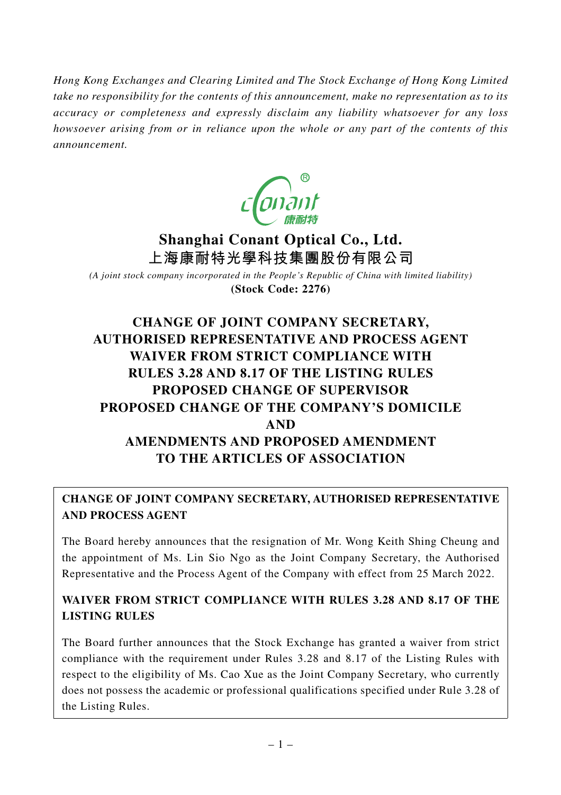*Hong Kong Exchanges and Clearing Limited and The Stock Exchange of Hong Kong Limited take no responsibility for the contents of this announcement, make no representation as to its accuracy or completeness and expressly disclaim any liability whatsoever for any loss howsoever arising from or in reliance upon the whole or any part of the contents of this announcement.*



# **Shanghai Conant Optical Co., Ltd. 上海康耐特光學科技集團股份有限公司**

*(A joint stock company incorporated in the People's Republic of China with limited liability)* **(Stock Code: 2276)**

# **CHANGE OF JOINT COMPANY SECRETARY, AUTHORISED REPRESENTATIVE AND PROCESS AGENT WAIVER FROM STRICT COMPLIANCE WITH RULES 3.28 AND 8.17 OF THE LISTING RULES PROPOSED CHANGE OF SUPERVISOR PROPOSED CHANGE OF THE COMPANY'S DOMICILE AND AMENDMENTS AND PROPOSED AMENDMENT TO THE ARTICLES OF ASSOCIATION**

## **CHANGE OF JOINT COMPANY SECRETARY, AUTHORISED REPRESENTATIVE AND PROCESS AGENT**

The Board hereby announces that the resignation of Mr. Wong Keith Shing Cheung and the appointment of Ms. Lin Sio Ngo as the Joint Company Secretary, the Authorised Representative and the Process Agent of the Company with effect from 25 March 2022.

## **WAIVER FROM STRICT COMPLIANCE WITH RULES 3.28 AND 8.17 OF THE LISTING RULES**

The Board further announces that the Stock Exchange has granted a waiver from strict compliance with the requirement under Rules 3.28 and 8.17 of the Listing Rules with respect to the eligibility of Ms. Cao Xue as the Joint Company Secretary, who currently does not possess the academic or professional qualifications specified under Rule 3.28 of the Listing Rules.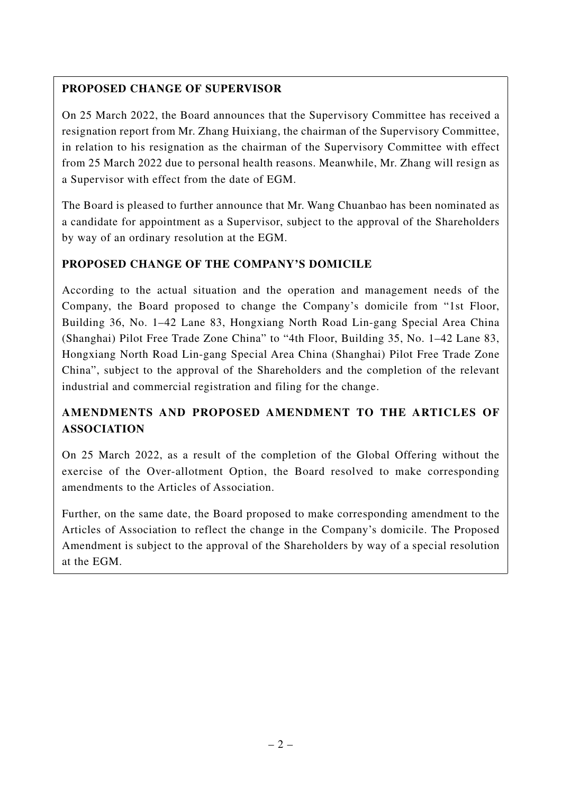### **PROPOSED CHANGE OF SUPERVISOR**

On 25 March 2022, the Board announces that the Supervisory Committee has received a resignation report from Mr. Zhang Huixiang, the chairman of the Supervisory Committee, in relation to his resignation as the chairman of the Supervisory Committee with effect from 25 March 2022 due to personal health reasons. Meanwhile, Mr. Zhang will resign as a Supervisor with effect from the date of EGM.

The Board is pleased to further announce that Mr. Wang Chuanbao has been nominated as a candidate for appointment as a Supervisor, subject to the approval of the Shareholders by way of an ordinary resolution at the EGM.

### **PROPOSED CHANGE OF THE COMPANY'S DOMICILE**

According to the actual situation and the operation and management needs of the Company, the Board proposed to change the Company's domicile from "1st Floor, Building 36, No. 1–42 Lane 83, Hongxiang North Road Lin-gang Special Area China (Shanghai) Pilot Free Trade Zone China" to "4th Floor, Building 35, No. 1–42 Lane 83, Hongxiang North Road Lin-gang Special Area China (Shanghai) Pilot Free Trade Zone China", subject to the approval of the Shareholders and the completion of the relevant industrial and commercial registration and filing for the change.

# **AMENDMENTS AND PROPOSED AMENDMENT TO THE ARTICLES OF ASSOCIATION**

On 25 March 2022, as a result of the completion of the Global Offering without the exercise of the Over-allotment Option, the Board resolved to make corresponding amendments to the Articles of Association.

Further, on the same date, the Board proposed to make corresponding amendment to the Articles of Association to reflect the change in the Company's domicile. The Proposed Amendment is subject to the approval of the Shareholders by way of a special resolution at the EGM.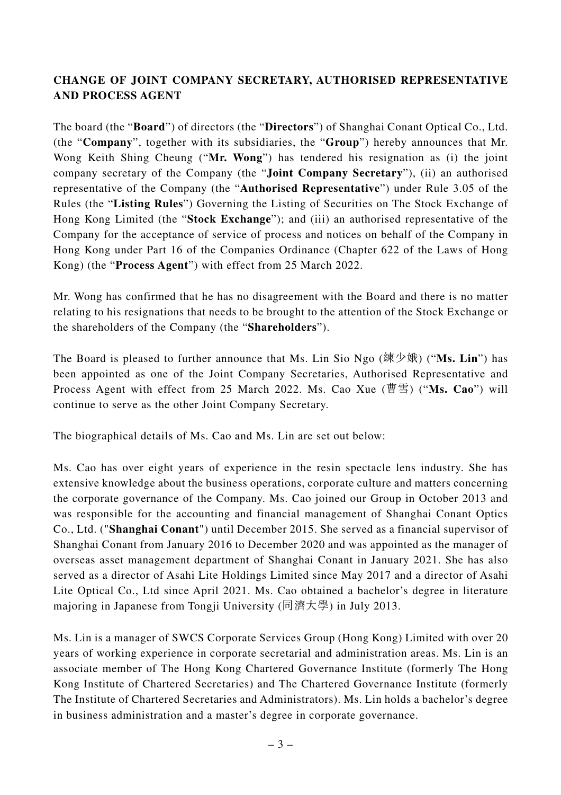## **CHANGE OF JOINT COMPANY SECRETARY, AUTHORISED REPRESENTATIVE AND PROCESS AGENT**

The board (the "**Board**") of directors (the "**Directors**") of Shanghai Conant Optical Co., Ltd. (the "**Company**", together with its subsidiaries, the "**Group**") hereby announces that Mr. Wong Keith Shing Cheung ("**Mr. Wong**") has tendered his resignation as (i) the joint company secretary of the Company (the "**Joint Company Secretary**"), (ii) an authorised representative of the Company (the "**Authorised Representative**") under Rule 3.05 of the Rules (the "**Listing Rules**") Governing the Listing of Securities on The Stock Exchange of Hong Kong Limited (the "**Stock Exchange**"); and (iii) an authorised representative of the Company for the acceptance of service of process and notices on behalf of the Company in Hong Kong under Part 16 of the Companies Ordinance (Chapter 622 of the Laws of Hong Kong) (the "**Process Agent**") with effect from 25 March 2022.

Mr. Wong has confirmed that he has no disagreement with the Board and there is no matter relating to his resignations that needs to be brought to the attention of the Stock Exchange or the shareholders of the Company (the "**Shareholders**").

The Board is pleased to further announce that Ms. Lin Sio Ngo (練少娥) ("**Ms. Lin**") has been appointed as one of the Joint Company Secretaries, Authorised Representative and Process Agent with effect from 25 March 2022. Ms. Cao Xue (曹雪) ("**Ms. Cao**") will continue to serve as the other Joint Company Secretary.

The biographical details of Ms. Cao and Ms. Lin are set out below:

Ms. Cao has over eight years of experience in the resin spectacle lens industry. She has extensive knowledge about the business operations, corporate culture and matters concerning the corporate governance of the Company. Ms. Cao joined our Group in October 2013 and was responsible for the accounting and financial management of Shanghai Conant Optics Co., Ltd. ("**Shanghai Conant**") until December 2015. She served as a financial supervisor of Shanghai Conant from January 2016 to December 2020 and was appointed as the manager of overseas asset management department of Shanghai Conant in January 2021. She has also served as a director of Asahi Lite Holdings Limited since May 2017 and a director of Asahi Lite Optical Co., Ltd since April 2021. Ms. Cao obtained a bachelor's degree in literature majoring in Japanese from Tongji University (同濟大學) in July 2013.

Ms. Lin is a manager of SWCS Corporate Services Group (Hong Kong) Limited with over 20 years of working experience in corporate secretarial and administration areas. Ms. Lin is an associate member of The Hong Kong Chartered Governance Institute (formerly The Hong Kong Institute of Chartered Secretaries) and The Chartered Governance Institute (formerly The Institute of Chartered Secretaries and Administrators). Ms. Lin holds a bachelor's degree in business administration and a master's degree in corporate governance.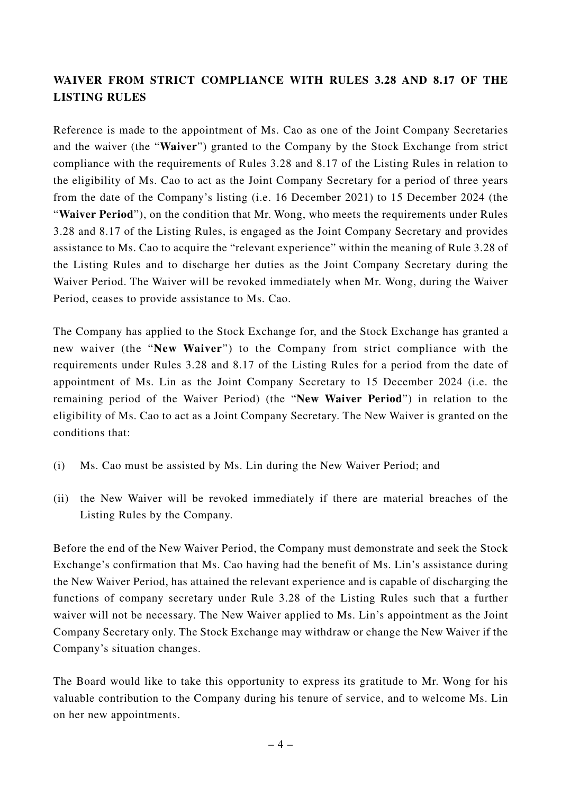# **WAIVER FROM STRICT COMPLIANCE WITH RULES 3.28 AND 8.17 OF THE LISTING RULES**

Reference is made to the appointment of Ms. Cao as one of the Joint Company Secretaries and the waiver (the "**Waiver**") granted to the Company by the Stock Exchange from strict compliance with the requirements of Rules 3.28 and 8.17 of the Listing Rules in relation to the eligibility of Ms. Cao to act as the Joint Company Secretary for a period of three years from the date of the Company's listing (i.e. 16 December 2021) to 15 December 2024 (the "**Waiver Period**"), on the condition that Mr. Wong, who meets the requirements under Rules 3.28 and 8.17 of the Listing Rules, is engaged as the Joint Company Secretary and provides assistance to Ms. Cao to acquire the "relevant experience" within the meaning of Rule 3.28 of the Listing Rules and to discharge her duties as the Joint Company Secretary during the Waiver Period. The Waiver will be revoked immediately when Mr. Wong, during the Waiver Period, ceases to provide assistance to Ms. Cao.

The Company has applied to the Stock Exchange for, and the Stock Exchange has granted a new waiver (the "**New Waiver**") to the Company from strict compliance with the requirements under Rules 3.28 and 8.17 of the Listing Rules for a period from the date of appointment of Ms. Lin as the Joint Company Secretary to 15 December 2024 (i.e. the remaining period of the Waiver Period) (the "**New Waiver Period**") in relation to the eligibility of Ms. Cao to act as a Joint Company Secretary. The New Waiver is granted on the conditions that:

- (i) Ms. Cao must be assisted by Ms. Lin during the New Waiver Period; and
- (ii) the New Waiver will be revoked immediately if there are material breaches of the Listing Rules by the Company.

Before the end of the New Waiver Period, the Company must demonstrate and seek the Stock Exchange's confirmation that Ms. Cao having had the benefit of Ms. Lin's assistance during the New Waiver Period, has attained the relevant experience and is capable of discharging the functions of company secretary under Rule 3.28 of the Listing Rules such that a further waiver will not be necessary. The New Waiver applied to Ms. Lin's appointment as the Joint Company Secretary only. The Stock Exchange may withdraw or change the New Waiver if the Company's situation changes.

The Board would like to take this opportunity to express its gratitude to Mr. Wong for his valuable contribution to the Company during his tenure of service, and to welcome Ms. Lin on her new appointments.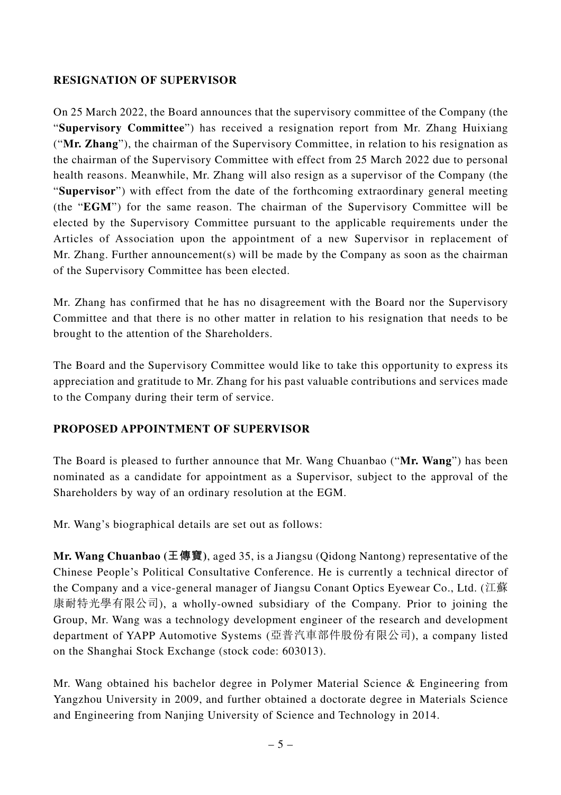#### **RESIGNATION OF SUPERVISOR**

On 25 March 2022, the Board announces that the supervisory committee of the Company (the "**Supervisory Committee**") has received a resignation report from Mr. Zhang Huixiang ("**Mr. Zhang**"), the chairman of the Supervisory Committee, in relation to his resignation as the chairman of the Supervisory Committee with effect from 25 March 2022 due to personal health reasons. Meanwhile, Mr. Zhang will also resign as a supervisor of the Company (the "**Supervisor**") with effect from the date of the forthcoming extraordinary general meeting (the "**EGM**") for the same reason. The chairman of the Supervisory Committee will be elected by the Supervisory Committee pursuant to the applicable requirements under the Articles of Association upon the appointment of a new Supervisor in replacement of Mr. Zhang. Further announcement(s) will be made by the Company as soon as the chairman of the Supervisory Committee has been elected.

Mr. Zhang has confirmed that he has no disagreement with the Board nor the Supervisory Committee and that there is no other matter in relation to his resignation that needs to be brought to the attention of the Shareholders.

The Board and the Supervisory Committee would like to take this opportunity to express its appreciation and gratitude to Mr. Zhang for his past valuable contributions and services made to the Company during their term of service.

#### **PROPOSED APPOINTMENT OF SUPERVISOR**

The Board is pleased to further announce that Mr. Wang Chuanbao ("**Mr. Wang**") has been nominated as a candidate for appointment as a Supervisor, subject to the approval of the Shareholders by way of an ordinary resolution at the EGM.

Mr. Wang's biographical details are set out as follows:

**Mr. Wang Chuanbao (王傳寶)**, aged 35, is a Jiangsu (Qidong Nantong) representative of the Chinese People's Political Consultative Conference. He is currently a technical director of the Company and a vice-general manager of Jiangsu Conant Optics Eyewear Co., Ltd. (江蘇 康耐特光學有限公司), a wholly-owned subsidiary of the Company. Prior to joining the Group, Mr. Wang was a technology development engineer of the research and development department of YAPP Automotive Systems (亞普汽車部件股份有限公司), a company listed on the Shanghai Stock Exchange (stock code: 603013).

Mr. Wang obtained his bachelor degree in Polymer Material Science & Engineering from Yangzhou University in 2009, and further obtained a doctorate degree in Materials Science and Engineering from Nanjing University of Science and Technology in 2014.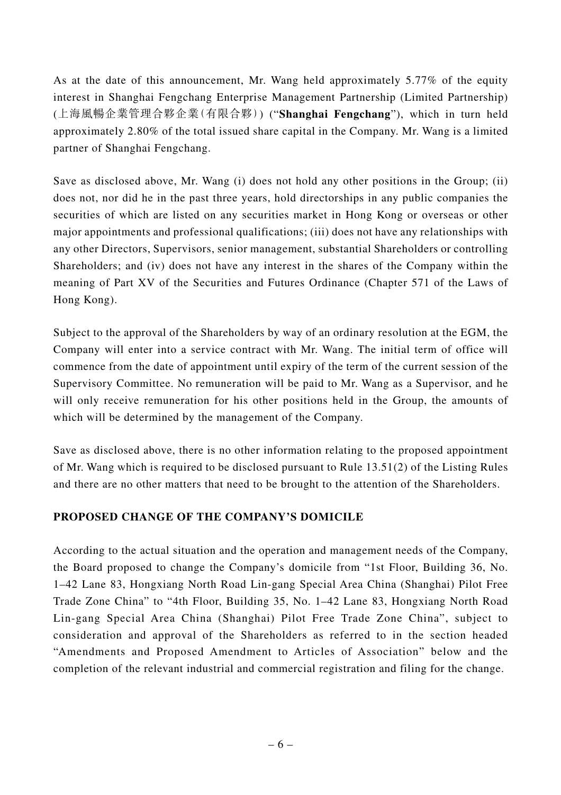As at the date of this announcement, Mr. Wang held approximately 5.77% of the equity interest in Shanghai Fengchang Enterprise Management Partnership (Limited Partnership) (上海風暢企業管理合夥企業(有限合夥)) ("**Shanghai Fengchang**"), which in turn held approximately 2.80% of the total issued share capital in the Company. Mr. Wang is a limited partner of Shanghai Fengchang.

Save as disclosed above, Mr. Wang (i) does not hold any other positions in the Group; (ii) does not, nor did he in the past three years, hold directorships in any public companies the securities of which are listed on any securities market in Hong Kong or overseas or other major appointments and professional qualifications; (iii) does not have any relationships with any other Directors, Supervisors, senior management, substantial Shareholders or controlling Shareholders; and (iv) does not have any interest in the shares of the Company within the meaning of Part XV of the Securities and Futures Ordinance (Chapter 571 of the Laws of Hong Kong).

Subject to the approval of the Shareholders by way of an ordinary resolution at the EGM, the Company will enter into a service contract with Mr. Wang. The initial term of office will commence from the date of appointment until expiry of the term of the current session of the Supervisory Committee. No remuneration will be paid to Mr. Wang as a Supervisor, and he will only receive remuneration for his other positions held in the Group, the amounts of which will be determined by the management of the Company.

Save as disclosed above, there is no other information relating to the proposed appointment of Mr. Wang which is required to be disclosed pursuant to Rule 13.51(2) of the Listing Rules and there are no other matters that need to be brought to the attention of the Shareholders.

#### **PROPOSED CHANGE OF THE COMPANY'S DOMICILE**

According to the actual situation and the operation and management needs of the Company, the Board proposed to change the Company's domicile from "1st Floor, Building 36, No. 1–42 Lane 83, Hongxiang North Road Lin-gang Special Area China (Shanghai) Pilot Free Trade Zone China" to "4th Floor, Building 35, No. 1–42 Lane 83, Hongxiang North Road Lin-gang Special Area China (Shanghai) Pilot Free Trade Zone China", subject to consideration and approval of the Shareholders as referred to in the section headed "Amendments and Proposed Amendment to Articles of Association" below and the completion of the relevant industrial and commercial registration and filing for the change.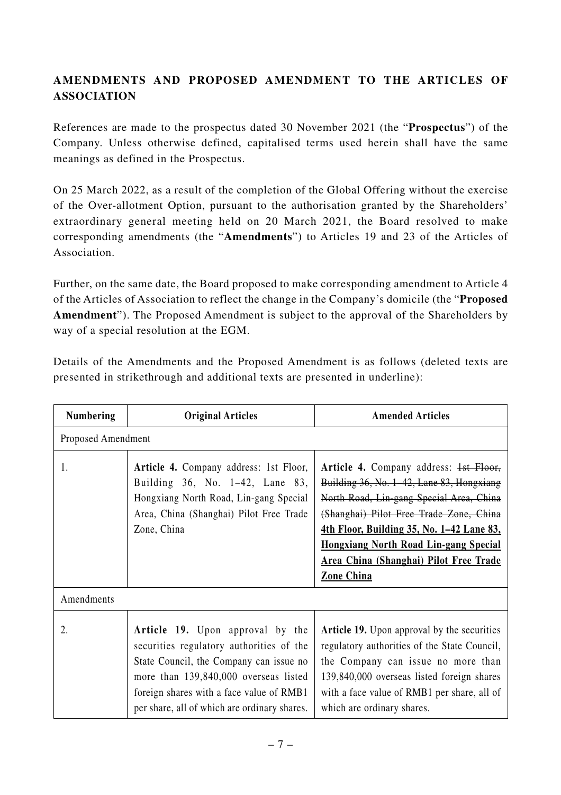# **AMENDMENTS AND PROPOSED AMENDMENT TO THE ARTICLES OF ASSOCIATION**

References are made to the prospectus dated 30 November 2021 (the "**Prospectus**") of the Company. Unless otherwise defined, capitalised terms used herein shall have the same meanings as defined in the Prospectus.

On 25 March 2022, as a result of the completion of the Global Offering without the exercise of the Over-allotment Option, pursuant to the authorisation granted by the Shareholders' extraordinary general meeting held on 20 March 2021, the Board resolved to make corresponding amendments (the "**Amendments**") to Articles 19 and 23 of the Articles of Association.

Further, on the same date, the Board proposed to make corresponding amendment to Article 4 of the Articles of Association to reflect the change in the Company's domicile (the "**Proposed Amendment**"). The Proposed Amendment is subject to the approval of the Shareholders by way of a special resolution at the EGM.

Details of the Amendments and the Proposed Amendment is as follows (deleted texts are presented in strikethrough and additional texts are presented in underline):

| <b>Numbering</b>   | <b>Original Articles</b>                                                                                                                                                                                                                                     | <b>Amended Articles</b>                                                                                                                                                                                                                                                                                                                |  |
|--------------------|--------------------------------------------------------------------------------------------------------------------------------------------------------------------------------------------------------------------------------------------------------------|----------------------------------------------------------------------------------------------------------------------------------------------------------------------------------------------------------------------------------------------------------------------------------------------------------------------------------------|--|
| Proposed Amendment |                                                                                                                                                                                                                                                              |                                                                                                                                                                                                                                                                                                                                        |  |
| 1.                 | Article 4. Company address: 1st Floor,<br>Building 36, No. 1-42, Lane 83,<br>Hongxiang North Road, Lin-gang Special<br>Area, China (Shanghai) Pilot Free Trade<br>Zone, China                                                                                | Article 4. Company address: 1st Floor,<br>Building 36, No. 1-42, Lane 83, Hongxiang<br>North Road, Lin-gang Special Area, China<br>(Shanghai) Pilot Free Trade Zone, China<br>4th Floor, Building 35, No. 1-42 Lane 83,<br><b>Hongxiang North Road Lin-gang Special</b><br>Area China (Shanghai) Pilot Free Trade<br><b>Zone China</b> |  |
| Amendments         |                                                                                                                                                                                                                                                              |                                                                                                                                                                                                                                                                                                                                        |  |
| 2.                 | Article 19. Upon approval by the<br>securities regulatory authorities of the<br>State Council, the Company can issue no<br>more than 139,840,000 overseas listed<br>foreign shares with a face value of RMB1<br>per share, all of which are ordinary shares. | <b>Article 19.</b> Upon approval by the securities<br>regulatory authorities of the State Council,<br>the Company can issue no more than<br>139,840,000 overseas listed foreign shares<br>with a face value of RMB1 per share, all of<br>which are ordinary shares.                                                                    |  |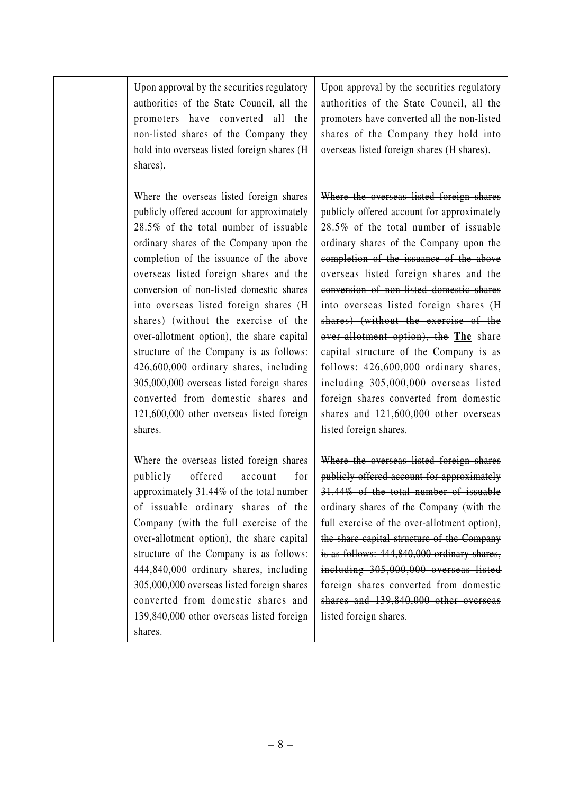Upon approval by the securities regulatory authorities of the State Council, all the promoters have converted all the non-listed shares of the Company they hold into overseas listed foreign shares (H shares).

Where the overseas listed foreign shares publicly offered account for approximately 28.5% of the total number of issuable ordinary shares of the Company upon the completion of the issuance of the above overseas listed foreign shares and the conversion of non-listed domestic shares into overseas listed foreign shares (H shares) (without the exercise of the over-allotment option), the share capital structure of the Company is as follows: 426,600,000 ordinary shares, including 305,000,000 overseas listed foreign shares converted from domestic shares and 121,600,000 other overseas listed foreign shares.

Where the overseas listed foreign shares publicly offered account for approximately 31.44% of the total number of issuable ordinary shares of the Company (with the full exercise of the over-allotment option), the share capital structure of the Company is as follows: 444,840,000 ordinary shares, including 305,000,000 overseas listed foreign shares converted from domestic shares and 139,840,000 other overseas listed foreign shares.

Upon approval by the securities regulatory authorities of the State Council, all the promoters have converted all the non-listed shares of the Company they hold into overseas listed foreign shares (H shares).

Where the overseas listed foreign shares publicly offered account for approximately 28.5% of the total number of issuable ordinary shares of the Company upon the completion of the issuance of the above overseas listed foreign shares and the conversion of non-listed domestic shares into overseas listed foreign shares (H shares) (without the exercise of the over-allotment option), the **The** share capital structure of the Company is as follows: 426,600,000 ordinary shares, including 305,000,000 overseas listed foreign shares converted from domestic shares and 121,600,000 other overseas listed foreign shares.

Where the overseas listed foreign shares publicly offered account for approximately 31.44% of the total number of issuable ordinary shares of the Company (with the full exercise of the over-allotment option), the share capital structure of the Company is as follows: 444,840,000 ordinary shares, including 305,000,000 overseas listed foreign shares converted from domestic shares and 139,840,000 other overseas listed foreign shares.